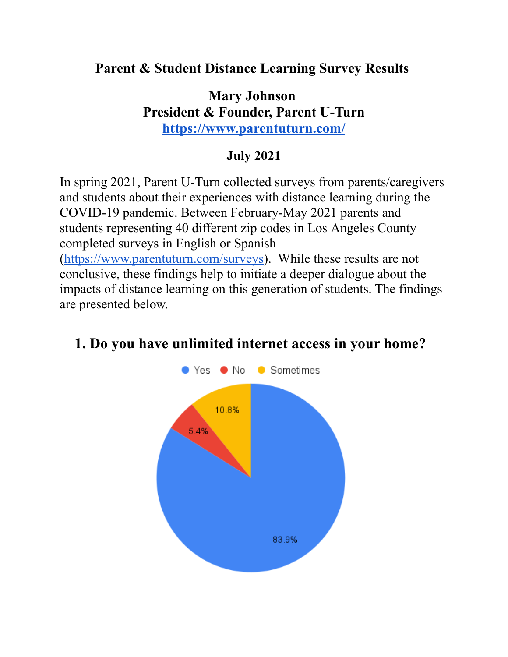### **Parent & Student Distance Learning Survey Results**

#### **Mary Johnson President & Founder, Parent U-Turn <https://www.parentuturn.com/>**

## **July 2021**

In spring 2021, Parent U-Turn collected surveys from parents/caregivers and students about their experiences with distance learning during the COVID-19 pandemic. Between February-May 2021 parents and students representing 40 different zip codes in Los Angeles County completed surveys in English or Spanish

[\(https://www.parentuturn.com/surveys\)](https://www.parentuturn.com/surveys). While these results are not conclusive, these findings help to initiate a deeper dialogue about the impacts of distance learning on this generation of students. The findings are presented below.



# **1. Do you have unlimited internet access in your home?**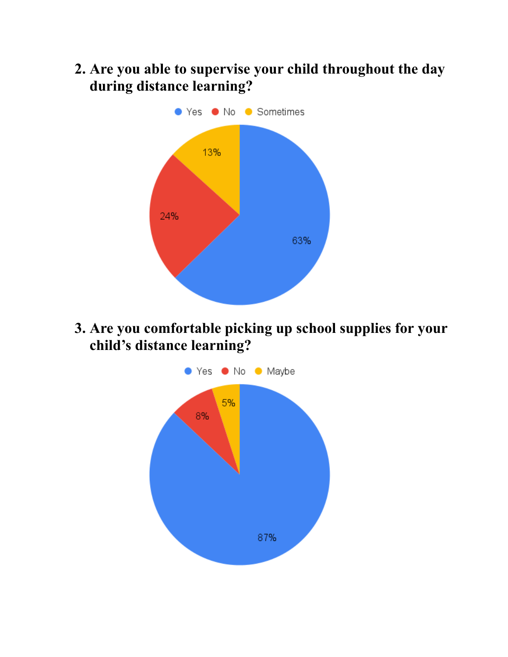**2. Are you able to supervise your child throughout the day during distance learning?**



**3. Are you comfortable picking up school supplies for your child's distance learning?**

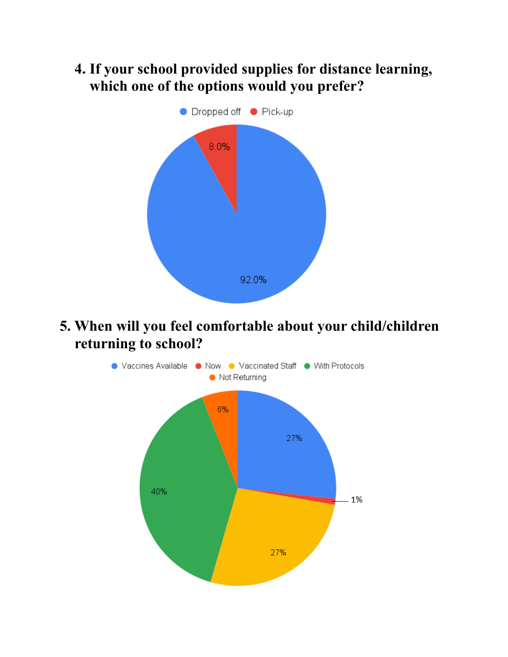**4. If your school provided supplies for distance learning, which one of the options would you prefer?**



**5. When will you feel comfortable about your child/children** returning to school?

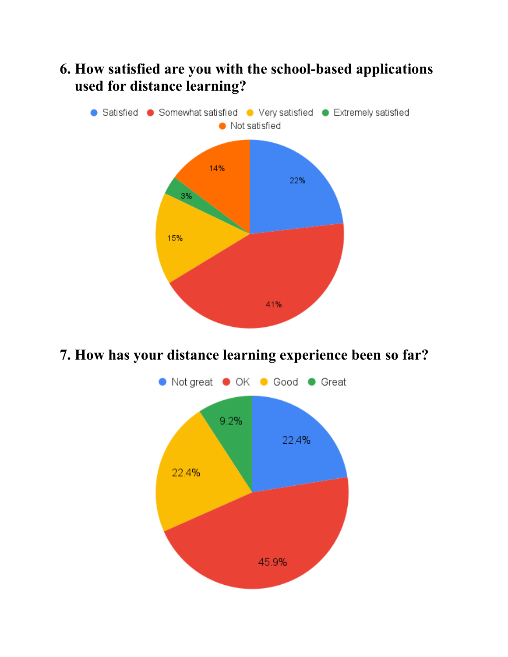# **6. How satisfied are you with the school-based applications used for distance learning?**



## **7. How has your distance learning experience been so far?**

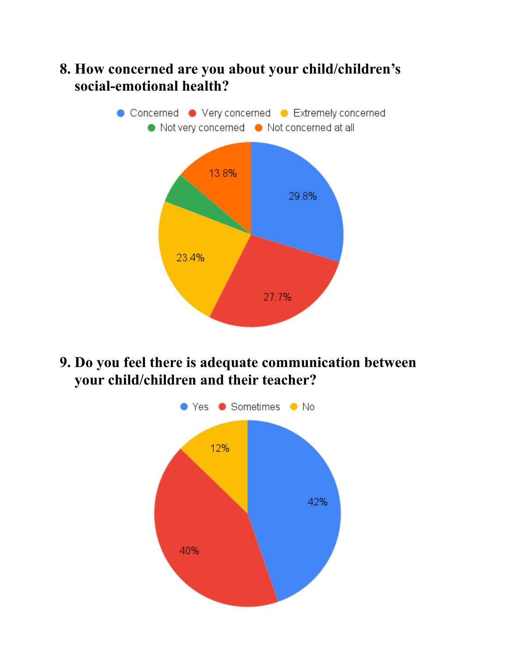## **8. How concerned are you about your child/children's** social-emotional health?



**9. Do you feel there is adequate communication between** your child/children and their teacher?

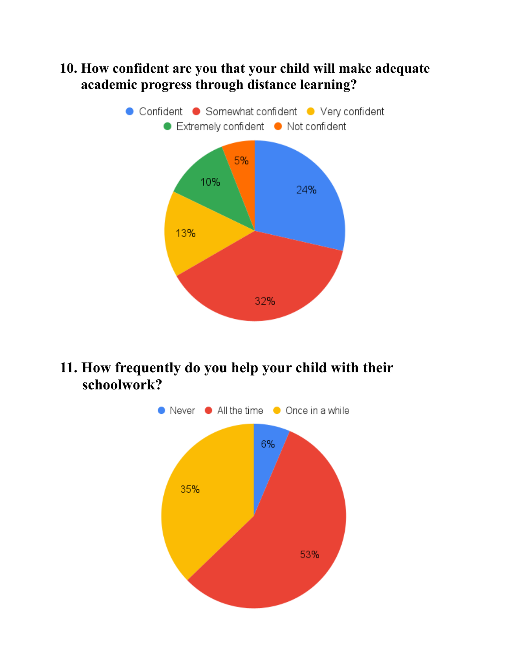### **10. How confident are you that your child will make adequate …..academic progress through distance learning?**



## **11. How frequently do you help your child with their …..schoolwork?**

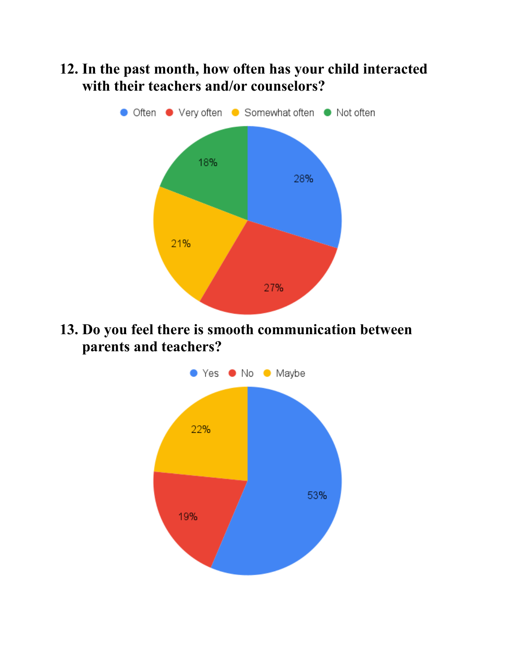## **12. In the past month, how often has your child interacted** with their teachers and/or counselors?



**13. Do you feel there is smooth communication between …..parents and teachers?**

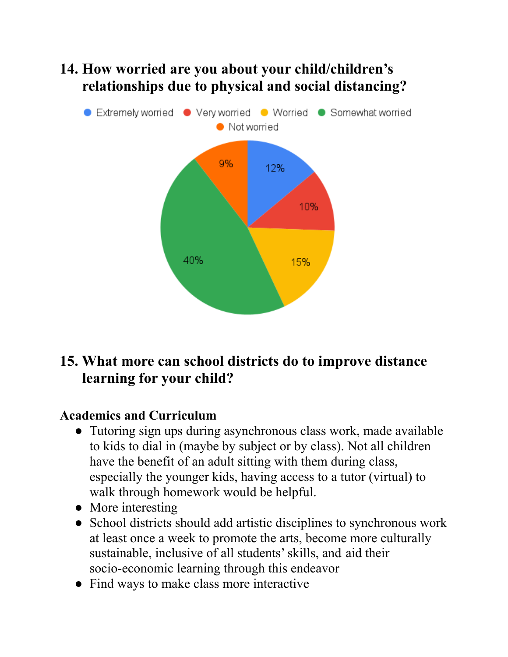# **14. How worried are you about your child/children's …..relationships due to physical and social distancing?**



# **15. What more can school districts do to improve distance learning for your child?**

## **Academics and Curriculum**

- Tutoring sign ups during asynchronous class work, made available to kids to dial in (maybe by subject or by class). Not all children have the benefit of an adult sitting with them during class, especially the younger kids, having access to a tutor (virtual) to walk through homework would be helpful.
- More interesting
- School districts should add artistic disciplines to synchronous work at least once a week to promote the arts, become more culturally sustainable, inclusive of all students'skills, and aid their socio-economic learning through this endeavor
- Find ways to make class more interactive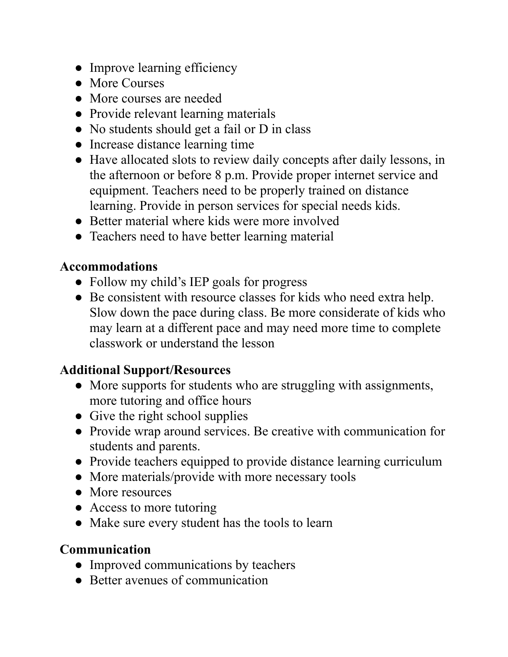- Improve learning efficiency
- More Courses
- More courses are needed
- Provide relevant learning materials
- No students should get a fail or D in class
- Increase distance learning time
- Have allocated slots to review daily concepts after daily lessons, in the afternoon or before 8 p.m. Provide proper internet service and equipment. Teachers need to be properly trained on distance learning. Provide in person services for special needs kids.
- Better material where kids were more involved
- Teachers need to have better learning material

#### **Accommodations**

- Follow my child's IEP goals for progress
- Be consistent with resource classes for kids who need extra help. Slow down the pace during class. Be more considerate of kids who may learn at a different pace and may need more time to complete classwork or understand the lesson

#### **Additional Support/Resources**

- More supports for students who are struggling with assignments, more tutoring and office hours
- Give the right school supplies
- Provide wrap around services. Be creative with communication for students and parents.
- Provide teachers equipped to provide distance learning curriculum
- More materials/provide with more necessary tools
- More resources
- Access to more tutoring
- Make sure every student has the tools to learn

#### **Communication**

- Improved communications by teachers
- Better avenues of communication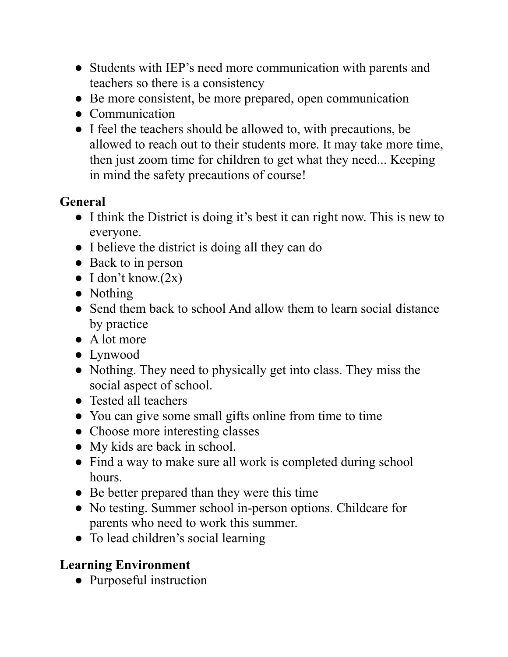- Students with IEP's need more communication with parents and teachers so there is a consistency
- Be more consistent, be more prepared, open communication
- Communication
- I feel the teachers should be allowed to, with precautions, be allowed to reach out to their students more. It may take more time, then just zoom time for children to get what they need... Keeping in mind the safety precautions of course!

## **General**

- I think the District is doing it's best it can right now. This is new to everyone.
- I believe the district is doing all they can do
- Back to in person
- $\bullet$  I don't know. $(2x)$
- Nothing
- Send them back to school And allow them to learn social distance by practice
- A lot more
- Lynwood
- Nothing. They need to physically get into class. They miss the social aspect of school.
- Tested all teachers
- You can give some small gifts online from time to time
- Choose more interesting classes
- My kids are back in school.
- Find a way to make sure all work is completed during school hours.
- Be better prepared than they were this time
- No testing. Summer school in-person options. Childcare for parents who need to work this summer.
- To lead children's social learning

## **Learning Environment**

• Purposeful instruction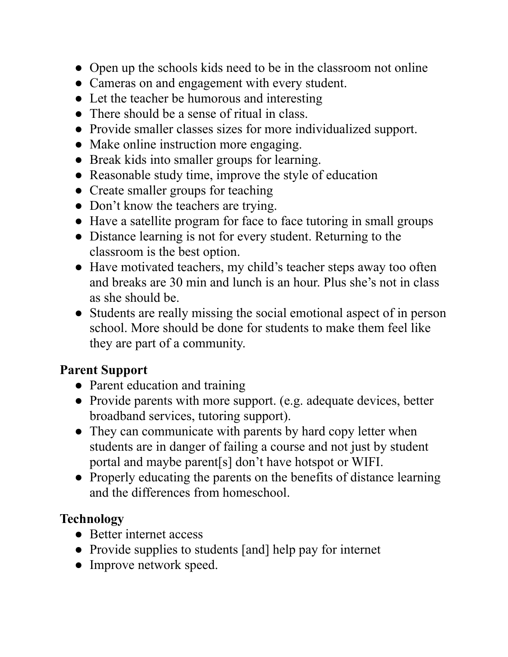- Open up the schools kids need to be in the classroom not online
- Cameras on and engagement with every student.
- Let the teacher be humorous and interesting
- There should be a sense of ritual in class.
- Provide smaller classes sizes for more individualized support.
- Make online instruction more engaging.
- Break kids into smaller groups for learning.
- Reasonable study time, improve the style of education
- Create smaller groups for teaching
- Don't know the teachers are trying.
- Have a satellite program for face to face tutoring in small groups
- Distance learning is not for every student. Returning to the classroom is the best option.
- Have motivated teachers, my child's teacher steps away too often and breaks are 30 min and lunch is an hour. Plus she's not in class as she should be.
- Students are really missing the social emotional aspect of in person school. More should be done for students to make them feel like they are part of a community.

#### **Parent Support**

- Parent education and training
- Provide parents with more support. (e.g. adequate devices, better broadband services, tutoring support).
- They can communicate with parents by hard copy letter when students are in danger of failing a course and not just by student portal and maybe parent[s] don't have hotspot or WIFI.
- Properly educating the parents on the benefits of distance learning and the differences from homeschool.

## **Technology**

- Better internet access
- Provide supplies to students [and] help pay for internet
- Improve network speed.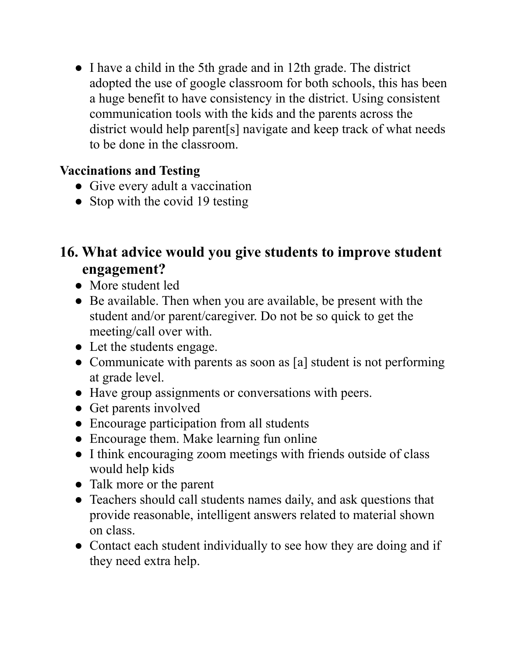● I have a child in the 5th grade and in 12th grade. The district adopted the use of google classroom for both schools, this has been a huge benefit to have consistency in the district. Using consistent communication tools with the kids and the parents across the district would help parent[s] navigate and keep track of what needs to be done in the classroom.

## **Vaccinations and Testing**

- Give every adult a vaccination
- Stop with the covid 19 testing

# **16. What advice would you give students to improve student …..engagement?**

- More student led
- Be available. Then when you are available, be present with the student and/or parent/caregiver. Do not be so quick to get the meeting/call over with.
- Let the students engage.
- Communicate with parents as soon as [a] student is not performing at grade level.
- Have group assignments or conversations with peers.
- Get parents involved
- Encourage participation from all students
- Encourage them. Make learning fun online
- I think encouraging zoom meetings with friends outside of class would help kids
- Talk more or the parent
- Teachers should call students names daily, and ask questions that provide reasonable, intelligent answers related to material shown on class.
- Contact each student individually to see how they are doing and if they need extra help.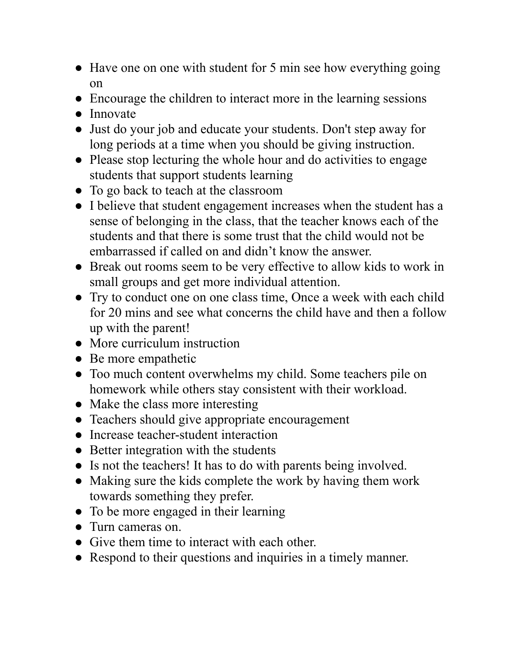- Have one on one with student for 5 min see how everything going on
- Encourage the children to interact more in the learning sessions
- Innovate
- Just do your job and educate your students. Don't step away for long periods at a time when you should be giving instruction.
- Please stop lecturing the whole hour and do activities to engage students that support students learning
- To go back to teach at the classroom
- I believe that student engagement increases when the student has a sense of belonging in the class, that the teacher knows each of the students and that there is some trust that the child would not be embarrassed if called on and didn't know the answer.
- Break out rooms seem to be very effective to allow kids to work in small groups and get more individual attention.
- Try to conduct one on one class time, Once a week with each child for 20 mins and see what concerns the child have and then a follow up with the parent!
- More curriculum instruction
- Be more empathetic
- Too much content overwhelms my child. Some teachers pile on homework while others stay consistent with their workload.
- Make the class more interesting
- Teachers should give appropriate encouragement
- Increase teacher-student interaction
- Better integration with the students
- Is not the teachers! It has to do with parents being involved.
- Making sure the kids complete the work by having them work towards something they prefer.
- To be more engaged in their learning
- Turn cameras on.
- Give them time to interact with each other.
- Respond to their questions and inquiries in a timely manner.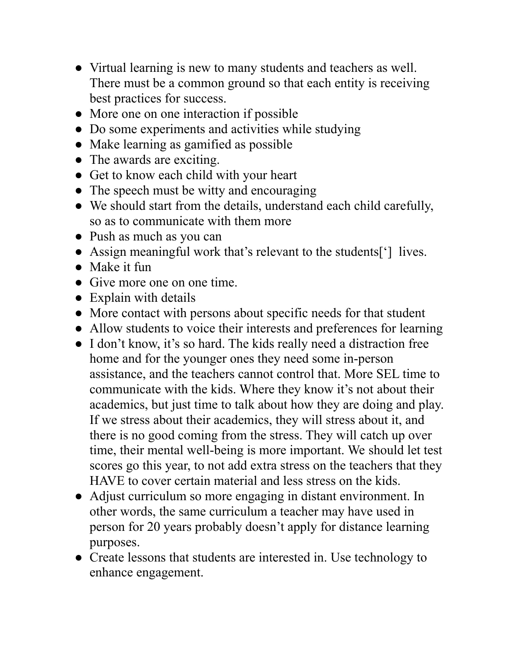- Virtual learning is new to many students and teachers as well. There must be a common ground so that each entity is receiving best practices for success.
- More one on one interaction if possible
- Do some experiments and activities while studying
- Make learning as gamified as possible
- The awards are exciting.
- Get to know each child with your heart
- The speech must be witty and encouraging
- We should start from the details, understand each child carefully, so as to communicate with them more
- Push as much as you can
- Assign meaningful work that's relevant to the students['] lives.
- Make it fun
- Give more one on one time
- Explain with details
- More contact with persons about specific needs for that student
- Allow students to voice their interests and preferences for learning
- I don't know, it's so hard. The kids really need a distraction free home and for the younger ones they need some in-person assistance, and the teachers cannot control that. More SEL time to communicate with the kids. Where they know it's not about their academics, but just time to talk about how they are doing and play. If we stress about their academics, they will stress about it, and there is no good coming from the stress. They will catch up over time, their mental well-being is more important. We should let test scores go this year, to not add extra stress on the teachers that they HAVE to cover certain material and less stress on the kids.
- Adjust curriculum so more engaging in distant environment. In other words, the same curriculum a teacher may have used in person for 20 years probably doesn't apply for distance learning purposes.
- Create lessons that students are interested in. Use technology to enhance engagement.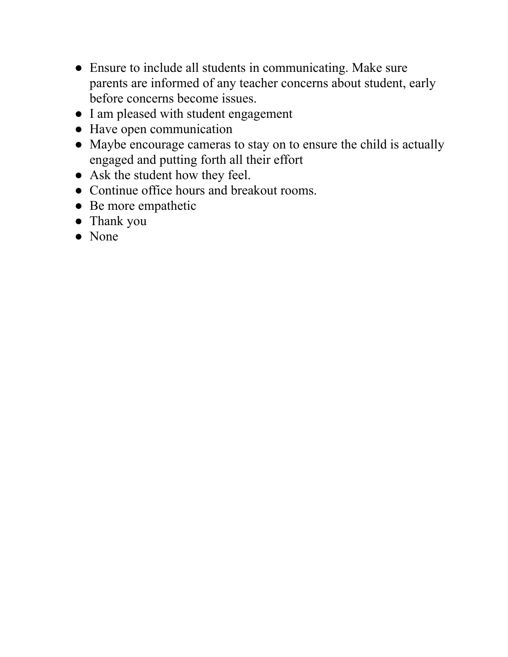- Ensure to include all students in communicating. Make sure parents are informed of any teacher concerns about student, early before concerns become issues.
- I am pleased with student engagement
- Have open communication
- Maybe encourage cameras to stay on to ensure the child is actually engaged and putting forth all their effort
- Ask the student how they feel.
- Continue office hours and breakout rooms.
- Be more empathetic
- Thank you
- None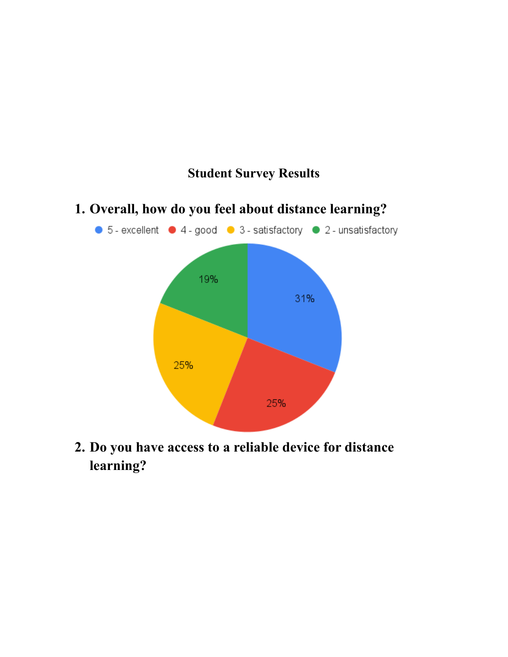

## **1. Overall, how do you feel about distance learning?**

**Student Survey Results**

**2. Do you have access to a reliable device for distance learning?**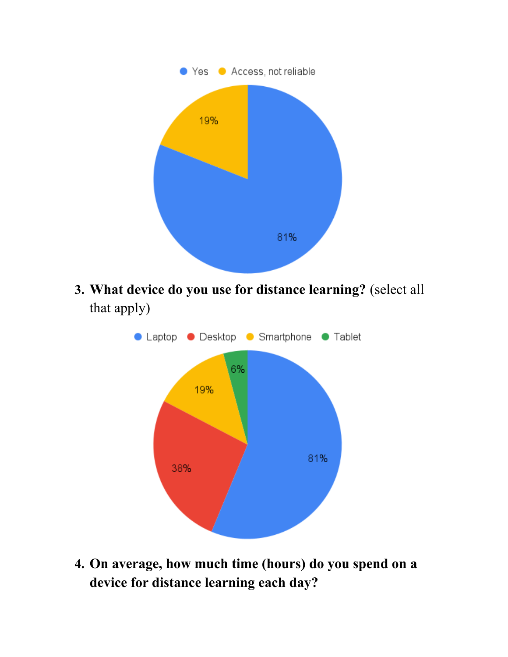

**3. What device do you use for distance learning?** (select all that apply)



**4. On average, how much time (hours) do you spend on a device for distance learning each day?**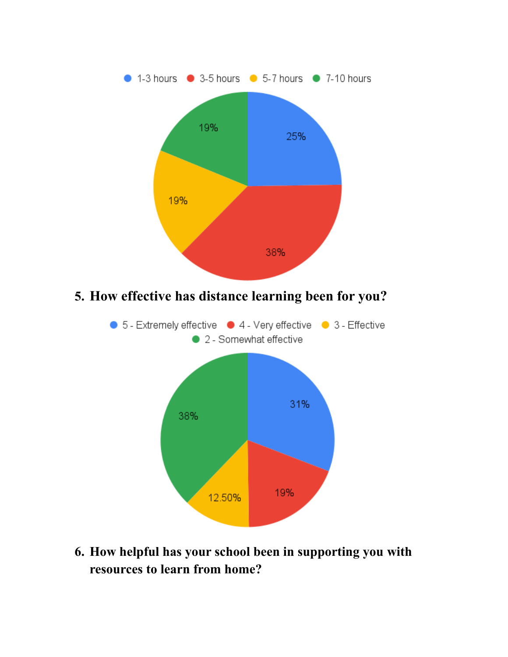

**6. How helpful has your school been in supporting you with resources to learn from home?**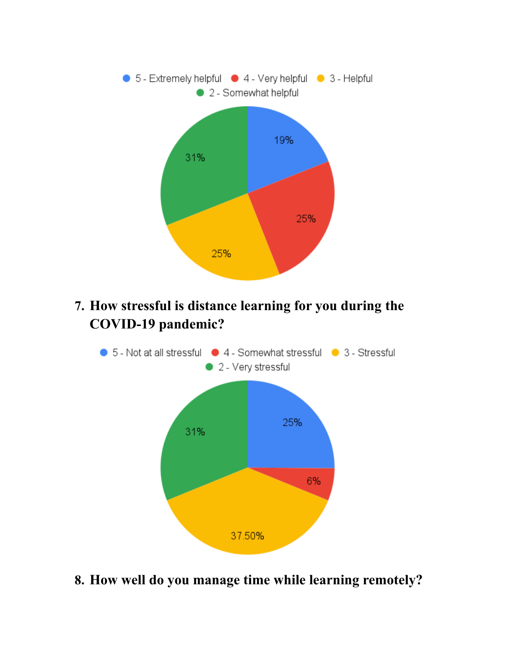

**7. How stressful is distance learning for you during the COVID-19 pandemic?**



**8. How well do you manage time while learning remotely?**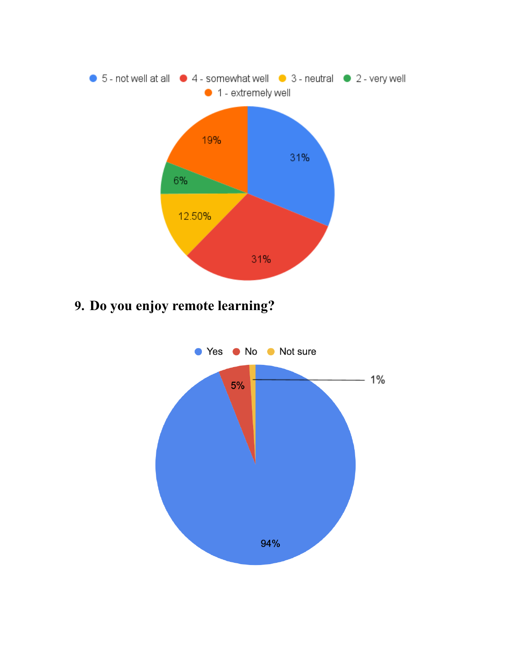

**9. Do you enjoy remote learning?**